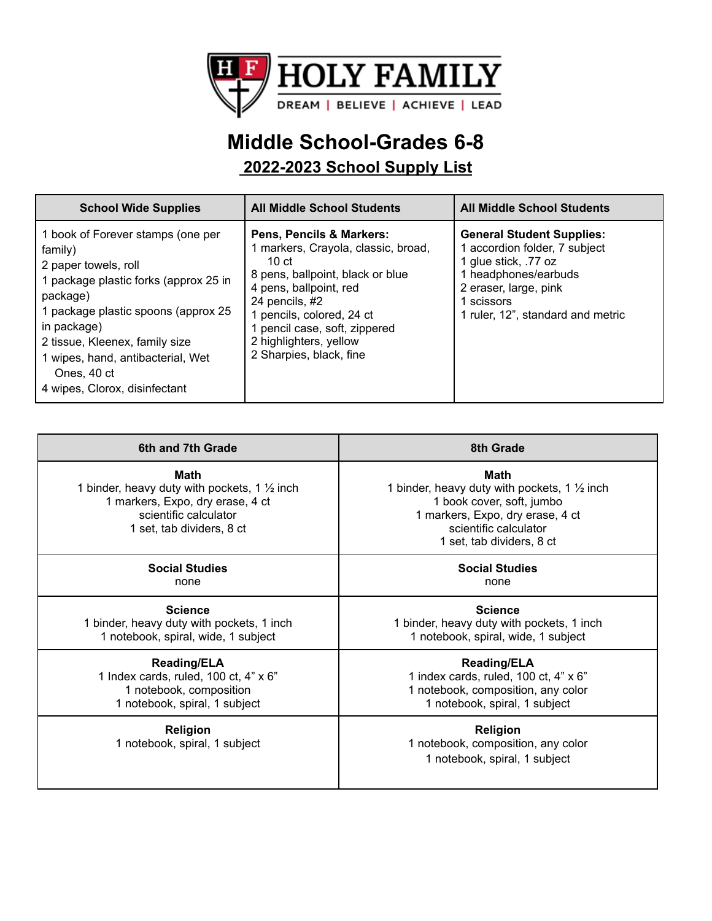

## **Middle School-Grades 6-8**

**2022-2023 School Supply List**

| <b>School Wide Supplies</b>                                                                                                                                                                                                                                                                            | <b>All Middle School Students</b>                                                                                                                                                                                                                                             | <b>All Middle School Students</b>                                                                                                                                                             |
|--------------------------------------------------------------------------------------------------------------------------------------------------------------------------------------------------------------------------------------------------------------------------------------------------------|-------------------------------------------------------------------------------------------------------------------------------------------------------------------------------------------------------------------------------------------------------------------------------|-----------------------------------------------------------------------------------------------------------------------------------------------------------------------------------------------|
| 1 book of Forever stamps (one per<br>family)<br>2 paper towels, roll<br>1 package plastic forks (approx 25 in<br>package)<br>1 package plastic spoons (approx 25<br>in package)<br>2 tissue, Kleenex, family size<br>1 wipes, hand, antibacterial, Wet<br>Ones, 40 ct<br>4 wipes, Clorox, disinfectant | Pens, Pencils & Markers:<br>1 markers, Crayola, classic, broad,<br>10 $ct$<br>8 pens, ballpoint, black or blue<br>4 pens, ballpoint, red<br>24 pencils, #2<br>1 pencils, colored, 24 ct<br>1 pencil case, soft, zippered<br>2 highlighters, yellow<br>2 Sharpies, black, fine | <b>General Student Supplies:</b><br>1 accordion folder, 7 subject<br>1 glue stick, .77 oz<br>1 headphones/earbuds<br>2 eraser, large, pink<br>1 scissors<br>1 ruler, 12", standard and metric |

| 6th and 7th Grade                                                                                                                                                | 8th Grade                                                                                                                                                                              |
|------------------------------------------------------------------------------------------------------------------------------------------------------------------|----------------------------------------------------------------------------------------------------------------------------------------------------------------------------------------|
| <b>Math</b><br>1 binder, heavy duty with pockets, 1 $\frac{1}{2}$ inch<br>1 markers, Expo, dry erase, 4 ct<br>scientific calculator<br>1 set, tab dividers, 8 ct | Math<br>1 binder, heavy duty with pockets, 1 $\frac{1}{2}$ inch<br>1 book cover, soft, jumbo<br>1 markers, Expo, dry erase, 4 ct<br>scientific calculator<br>1 set, tab dividers, 8 ct |
| <b>Social Studies</b>                                                                                                                                            | <b>Social Studies</b>                                                                                                                                                                  |
| none                                                                                                                                                             | none                                                                                                                                                                                   |
| <b>Science</b>                                                                                                                                                   | <b>Science</b>                                                                                                                                                                         |
| 1 binder, heavy duty with pockets, 1 inch                                                                                                                        | 1 binder, heavy duty with pockets, 1 inch                                                                                                                                              |
| 1 notebook, spiral, wide, 1 subject                                                                                                                              | 1 notebook, spiral, wide, 1 subject                                                                                                                                                    |
| <b>Reading/ELA</b>                                                                                                                                               | <b>Reading/ELA</b>                                                                                                                                                                     |
| 1 Index cards, ruled, 100 ct, 4" x 6"                                                                                                                            | 1 index cards, ruled, 100 ct, 4" x 6"                                                                                                                                                  |
| 1 notebook, composition                                                                                                                                          | 1 notebook, composition, any color                                                                                                                                                     |
| 1 notebook, spiral, 1 subject                                                                                                                                    | 1 notebook, spiral, 1 subject                                                                                                                                                          |
| Religion<br>1 notebook, spiral, 1 subject                                                                                                                        | Religion<br>1 notebook, composition, any color<br>1 notebook, spiral, 1 subject                                                                                                        |